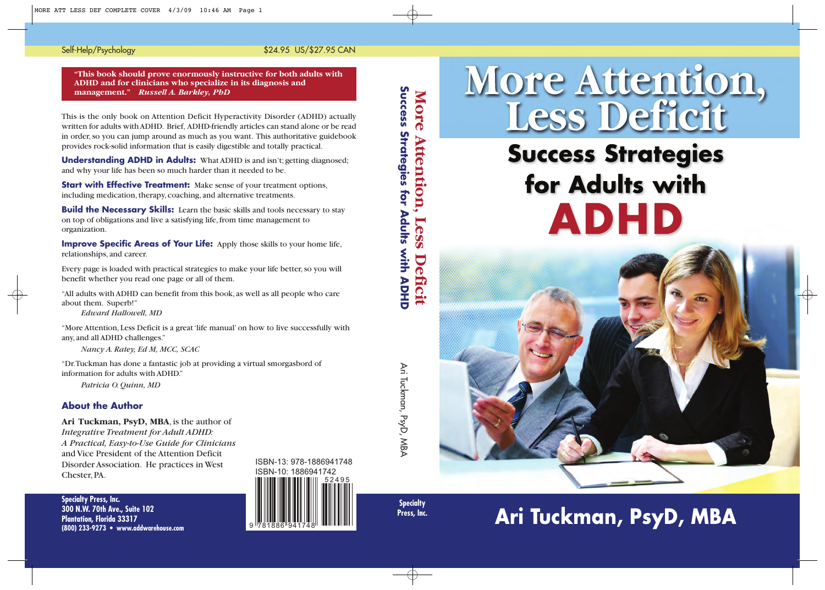# More Attention,<br>Less Deficit

# **Success Strategies** for Adults with ADHD

# Ari Tuckman, PsyD, MBA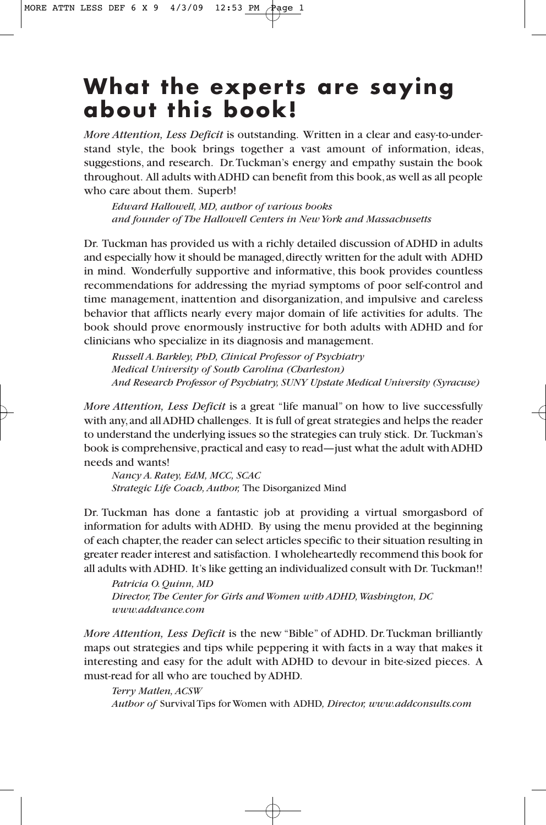### **What the experts are saying about this book!**

*More Attention, Less Deficit* is outstanding. Written in a clear and easy-to-understand style, the book brings together a vast amount of information, ideas, suggestions, and research. Dr. Tuckman's energy and empathy sustain the book throughout. All adults with ADHD can benefit from this book, as well as all people who care about them. Superb!

*Edward Hallowell, MD, author of various books and founder of The Hallowell Centers in New York and Massachusetts*

Dr. Tuckman has provided us with a richly detailed discussion of ADHD in adults and especially how it should be managed, directly written for the adult with ADHD in mind. Wonderfully supportive and informative, this book provides countless recommendations for addressing the myriad symptoms of poor self-control and time management, inattention and disorganization, and impulsive and careless behavior that afflicts nearly every major domain of life activities for adults. The book should prove enormously instructive for both adults with ADHD and for clinicians who specialize in its diagnosis and management.

*Russell A. Barkley, PhD, Clinical Professor of Psychiatry Medical University of South Carolina (Charleston) And Research Professor of Psychiatry, SUNY Upstate Medical University (Syracuse)*

*More Attention, Less Deficit* is a great "life manual" on how to live successfully with any, and all ADHD challenges. It is full of great strategies and helps the reader to understand the underlying issues so the strategies can truly stick. Dr. Tuckman's book is comprehensive, practical and easy to read—just what the adult with ADHD needs and wants!

*Nancy A. Ratey, EdM, MCC, SCAC Strategic Life Coach, Author,* The Disorganized Mind

Dr. Tuckman has done a fantastic job at providing a virtual smorgasbord of information for adults with ADHD. By using the menu provided at the beginning of each chapter, the reader can select articles specific to their situation resulting in greater reader interest and satisfaction. I wholeheartedly recommend this book for all adults with ADHD. It's like getting an individualized consult with Dr. Tuckman!!

*Patricia O. Quinn, MD Director, The Center for Girls and Women with ADHD, Washington, DC www.addvance.com*

*More Attention, Less Deficit* is the new "Bible" of ADHD. Dr. Tuckman brilliantly maps out strategies and tips while peppering it with facts in a way that makes it interesting and easy for the adult with ADHD to devour in bite-sized pieces. A must-read for all who are touched by ADHD.

*Terry Matlen, ACSW*

*Author of* Survival Tips for Women with ADHD*, Director, www.addconsults.com*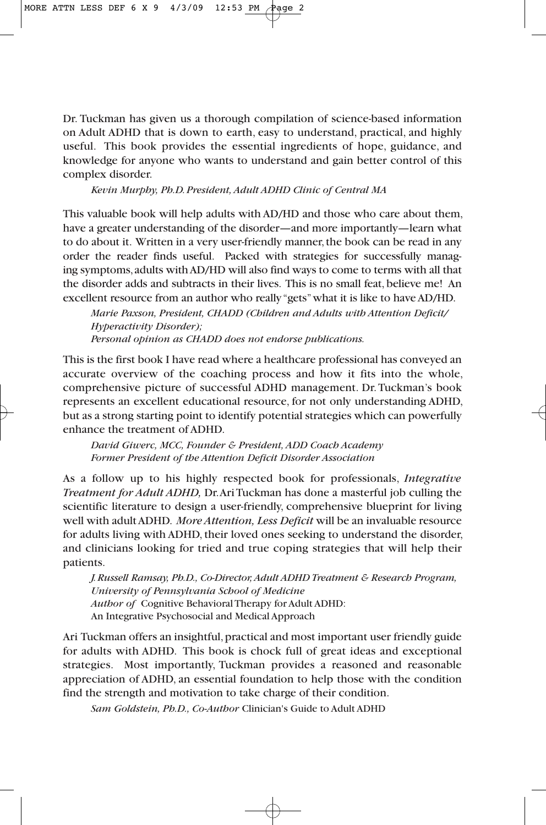Dr. Tuckman has given us a thorough compilation of science-based information on Adult ADHD that is down to earth, easy to understand, practical, and highly useful. This book provides the essential ingredients of hope, guidance, and knowledge for anyone who wants to understand and gain better control of this complex disorder.

*Kevin Murphy, Ph.D. President, Adult ADHD Clinic of Central MA*

This valuable book will help adults with AD/HD and those who care about them, have a greater understanding of the disorder—and more importantly—learn what to do about it. Written in a very user-friendly manner, the book can be read in any order the reader finds useful. Packed with strategies for successfully managing symptoms, adults with AD/HD will also find ways to come to terms with all that the disorder adds and subtracts in their lives. This is no small feat, believe me! An excellent resource from an author who really "gets" what it is like to have AD/HD.

*Marie Paxson, President, CHADD (Children and Adults with Attention Deficit/ Hyperactivity Disorder); Personal opinion as CHADD does not endorse publications.*

This is the first book I have read where a healthcare professional has conveyed an accurate overview of the coaching process and how it fits into the whole, comprehensive picture of successful ADHD management. Dr. Tuckman's book represents an excellent educational resource, for not only understanding ADHD, but as a strong starting point to identify potential strategies which can powerfully enhance the treatment of ADHD.

*David Giwerc, MCC, Founder & President, ADD Coach Academy Former President of the Attention Deficit Disorder Association*

As a follow up to his highly respected book for professionals, *Integrative Treatment for Adult ADHD,* Dr. Ari Tuckman has done a masterful job culling the scientific literature to design a user-friendly, comprehensive blueprint for living well with adult ADHD. *More Attention, Less Deficit* will be an invaluable resource for adults living with ADHD, their loved ones seeking to understand the disorder, and clinicians looking for tried and true coping strategies that will help their patients.

*J. Russell Ramsay, Ph.D., Co-Director, Adult ADHD Treatment & Research Program, University of Pennsylvania School of Medicine Author of* Cognitive Behavioral Therapy for Adult ADHD: An Integrative Psychosocial and Medical Approach

Ari Tuckman offers an insightful, practical and most important user friendly guide for adults with ADHD. This book is chock full of great ideas and exceptional strategies. Most importantly, Tuckman provides a reasoned and reasonable appreciation of ADHD, an essential foundation to help those with the condition find the strength and motivation to take charge of their condition.

*Sam Goldstein, Ph.D., Co-Author* Clinician's Guide to Adult ADHD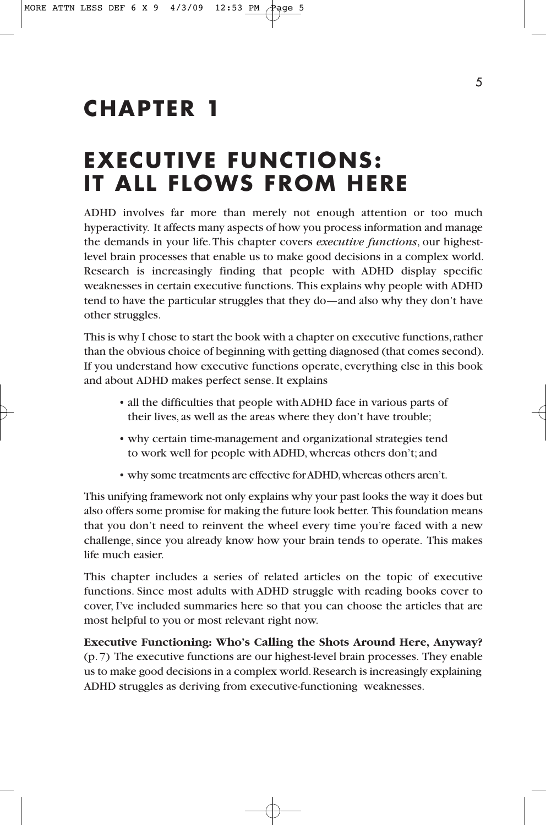## **CHAPTER 1**

## **EXECUTIVE FUNCTIONS: IT ALL FLOWS FROM HERE**

ADHD involves far more than merely not enough attention or too much hyperactivity. It affects many aspects of how you process information and manage the demands in your life. This chapter covers *executive functions*, our highestlevel brain processes that enable us to make good decisions in a complex world. Research is increasingly finding that people with ADHD display specific weaknesses in certain executive functions. This explains why people with ADHD tend to have the particular struggles that they do—and also why they don't have other struggles.

This is why I chose to start the book with a chapter on executive functions, rather than the obvious choice of beginning with getting diagnosed (that comes second). If you understand how executive functions operate, everything else in this book and about ADHD makes perfect sense. It explains

- all the difficulties that people with ADHD face in various parts of their lives, as well as the areas where they don't have trouble;
- why certain time-management and organizational strategies tend to work well for people with ADHD, whereas others don't; and
- why some treatments are effective for ADHD, whereas others aren't.

This unifying framework not only explains why your past looks the way it does but also offers some promise for making the future look better. This foundation means that you don't need to reinvent the wheel every time you're faced with a new challenge, since you already know how your brain tends to operate. This makes life much easier.

This chapter includes a series of related articles on the topic of executive functions. Since most adults with ADHD struggle with reading books cover to cover, I've included summaries here so that you can choose the articles that are most helpful to you or most relevant right now.

**Executive Functioning: Who's Calling the Shots Around Here, Anyway?** (p. 7) The executive functions are our highest-level brain processes. They enable us to make good decisions in a complex world. Research is increasingly explaining ADHD struggles as deriving from executive-functioning weaknesses.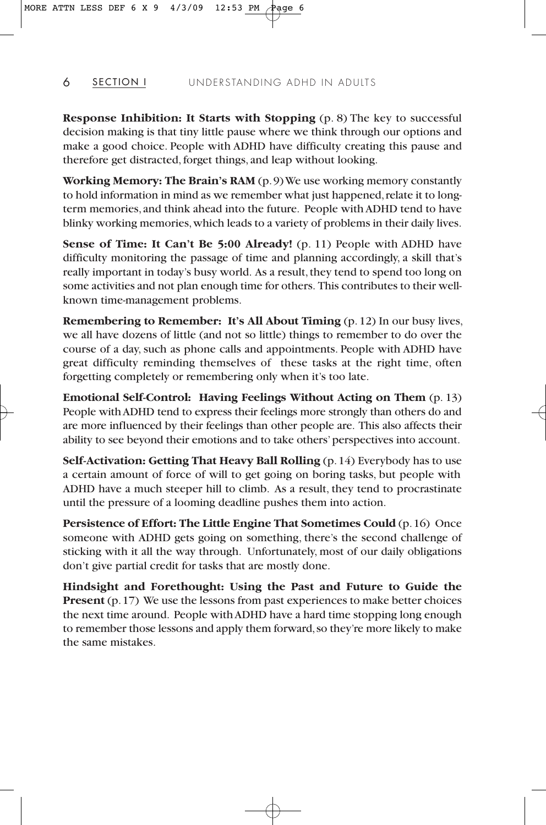**Response Inhibition: It Starts with Stopping** (p. 8) The key to successful decision making is that tiny little pause where we think through our options and make a good choice. People with ADHD have difficulty creating this pause and therefore get distracted, forget things, and leap without looking.

**Working Memory: The Brain's RAM** (p. 9) We use working memory constantly to hold information in mind as we remember what just happened, relate it to longterm memories, and think ahead into the future. People with ADHD tend to have blinky working memories, which leads to a variety of problems in their daily lives.

**Sense of Time: It Can't Be 5:00 Already!** (p. 11) People with ADHD have difficulty monitoring the passage of time and planning accordingly, a skill that's really important in today's busy world. As a result, they tend to spend too long on some activities and not plan enough time for others. This contributes to their wellknown time-management problems.

**Remembering to Remember: It's All About Timing** (p. 12) In our busy lives, we all have dozens of little (and not so little) things to remember to do over the course of a day, such as phone calls and appointments. People with ADHD have great difficulty reminding themselves of these tasks at the right time, often forgetting completely or remembering only when it's too late.

**Emotional Self-Control: Having Feelings Without Acting on Them** (p. 13) People with ADHD tend to express their feelings more strongly than others do and are more influenced by their feelings than other people are. This also affects their ability to see beyond their emotions and to take others' perspectives into account.

**Self-Activation: Getting That Heavy Ball Rolling** (p. 14) Everybody has to use a certain amount of force of will to get going on boring tasks, but people with ADHD have a much steeper hill to climb. As a result, they tend to procrastinate until the pressure of a looming deadline pushes them into action.

**Persistence of Effort: The Little Engine That Sometimes Could** (p. 16) Once someone with ADHD gets going on something, there's the second challenge of sticking with it all the way through. Unfortunately, most of our daily obligations don't give partial credit for tasks that are mostly done.

**Hindsight and Forethought: Using the Past and Future to Guide the Present** (p. 17) We use the lessons from past experiences to make better choices the next time around. People with ADHD have a hard time stopping long enough to remember those lessons and apply them forward, so they're more likely to make the same mistakes.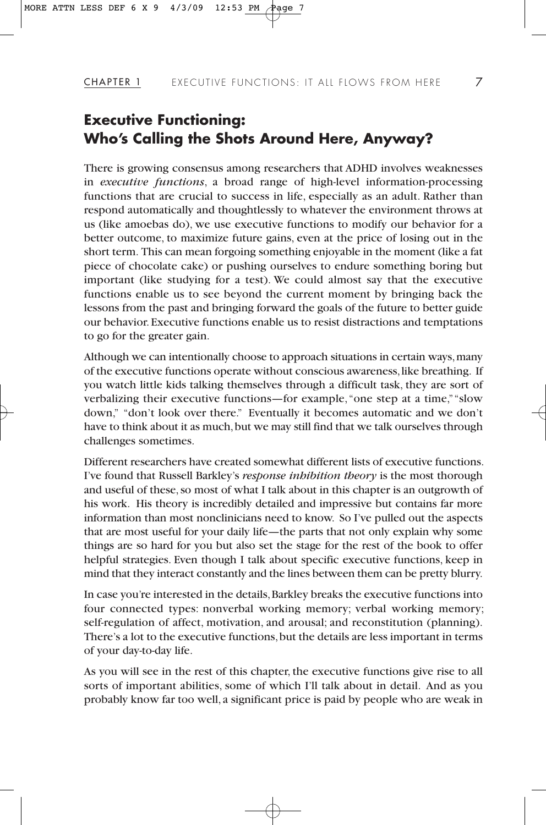#### **Executive Functioning: Who's Calling the Shots Around Here, Anyway?**

There is growing consensus among researchers that ADHD involves weaknesses in *executive functions*, a broad range of high-level information-processing functions that are crucial to success in life, especially as an adult. Rather than respond automatically and thoughtlessly to whatever the environment throws at us (like amoebas do), we use executive functions to modify our behavior for a better outcome, to maximize future gains, even at the price of losing out in the short term. This can mean forgoing something enjoyable in the moment (like a fat piece of chocolate cake) or pushing ourselves to endure something boring but important (like studying for a test). We could almost say that the executive functions enable us to see beyond the current moment by bringing back the lessons from the past and bringing forward the goals of the future to better guide our behavior. Executive functions enable us to resist distractions and temptations to go for the greater gain.

Although we can intentionally choose to approach situations in certain ways, many of the executive functions operate without conscious awareness, like breathing. If you watch little kids talking themselves through a difficult task, they are sort of verbalizing their executive functions—for example, "one step at a time," "slow down," "don't look over there." Eventually it becomes automatic and we don't have to think about it as much, but we may still find that we talk ourselves through challenges sometimes.

Different researchers have created somewhat different lists of executive functions. I've found that Russell Barkley's *response inhibition theory* is the most thorough and useful of these, so most of what I talk about in this chapter is an outgrowth of his work. His theory is incredibly detailed and impressive but contains far more information than most nonclinicians need to know. So I've pulled out the aspects that are most useful for your daily life—the parts that not only explain why some things are so hard for you but also set the stage for the rest of the book to offer helpful strategies. Even though I talk about specific executive functions, keep in mind that they interact constantly and the lines between them can be pretty blurry.

In case you're interested in the details, Barkley breaks the executive functions into four connected types: nonverbal working memory; verbal working memory; self-regulation of affect, motivation, and arousal; and reconstitution (planning). There's a lot to the executive functions, but the details are less important in terms of your day-to-day life.

As you will see in the rest of this chapter, the executive functions give rise to all sorts of important abilities, some of which I'll talk about in detail. And as you probably know far too well, a significant price is paid by people who are weak in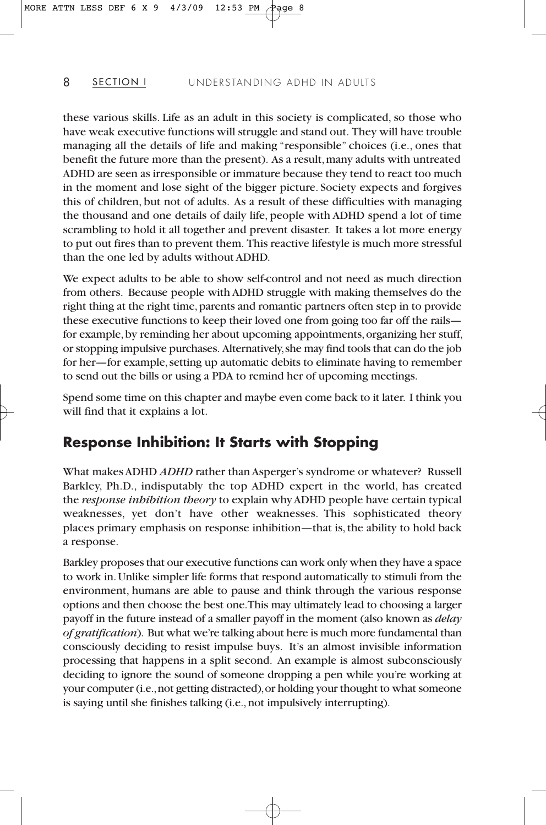these various skills. Life as an adult in this society is complicated, so those who have weak executive functions will struggle and stand out. They will have trouble managing all the details of life and making "responsible" choices (i.e., ones that benefit the future more than the present). As a result, many adults with untreated ADHD are seen as irresponsible or immature because they tend to react too much in the moment and lose sight of the bigger picture. Society expects and forgives this of children, but not of adults. As a result of these difficulties with managing the thousand and one details of daily life, people with ADHD spend a lot of time scrambling to hold it all together and prevent disaster. It takes a lot more energy to put out fires than to prevent them. This reactive lifestyle is much more stressful than the one led by adults without ADHD.

We expect adults to be able to show self-control and not need as much direction from others. Because people with ADHD struggle with making themselves do the right thing at the right time, parents and romantic partners often step in to provide these executive functions to keep their loved one from going too far off the rails for example, by reminding her about upcoming appointments, organizing her stuff, or stopping impulsive purchases. Alternatively, she may find tools that can do the job for her—for example, setting up automatic debits to eliminate having to remember to send out the bills or using a PDA to remind her of upcoming meetings.

Spend some time on this chapter and maybe even come back to it later. I think you will find that it explains a lot.

#### **Response Inhibition: It Starts with Stopping**

What makes ADHD *ADHD* rather than Asperger's syndrome or whatever? Russell Barkley, Ph.D., indisputably the top ADHD expert in the world, has created the *response inhibition theory* to explain why ADHD people have certain typical weaknesses, yet don't have other weaknesses. This sophisticated theory places primary emphasis on response inhibition—that is, the ability to hold back a response.

Barkley proposes that our executive functions can work only when they have a space to work in. Unlike simpler life forms that respond automatically to stimuli from the environment, humans are able to pause and think through the various response options and then choose the best one. This may ultimately lead to choosing a larger payoff in the future instead of a smaller payoff in the moment (also known as *delay of gratification*). But what we're talking about here is much more fundamental than consciously deciding to resist impulse buys. It's an almost invisible information processing that happens in a split second. An example is almost subconsciously deciding to ignore the sound of someone dropping a pen while you're working at your computer (i.e., not getting distracted), or holding your thought to what someone is saying until she finishes talking (i.e., not impulsively interrupting).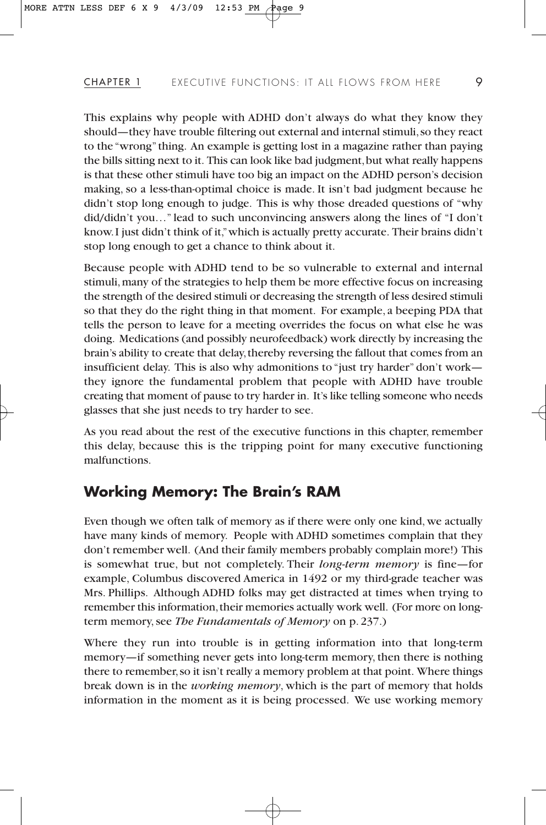This explains why people with ADHD don't always do what they know they should—they have trouble filtering out external and internal stimuli, so they react to the "wrong" thing. An example is getting lost in a magazine rather than paying the bills sitting next to it. This can look like bad judgment, but what really happens is that these other stimuli have too big an impact on the ADHD person's decision making, so a less-than-optimal choice is made. It isn't bad judgment because he didn't stop long enough to judge. This is why those dreaded questions of "why did/didn't you…" lead to such unconvincing answers along the lines of "I don't know. I just didn't think of it," which is actually pretty accurate. Their brains didn't stop long enough to get a chance to think about it.

Because people with ADHD tend to be so vulnerable to external and internal stimuli, many of the strategies to help them be more effective focus on increasing the strength of the desired stimuli or decreasing the strength of less desired stimuli so that they do the right thing in that moment. For example, a beeping PDA that tells the person to leave for a meeting overrides the focus on what else he was doing. Medications (and possibly neurofeedback) work directly by increasing the brain's ability to create that delay, thereby reversing the fallout that comes from an insufficient delay. This is also why admonitions to "just try harder" don't work they ignore the fundamental problem that people with ADHD have trouble creating that moment of pause to try harder in. It's like telling someone who needs glasses that she just needs to try harder to see.

As you read about the rest of the executive functions in this chapter, remember this delay, because this is the tripping point for many executive functioning malfunctions.

#### **Working Memory: The Brain's RAM**

Even though we often talk of memory as if there were only one kind, we actually have many kinds of memory. People with ADHD sometimes complain that they don't remember well. (And their family members probably complain more!) This is somewhat true, but not completely. Their *long-term memory* is fine—for example, Columbus discovered America in 1492 or my third-grade teacher was Mrs. Phillips. Although ADHD folks may get distracted at times when trying to remember this information, their memories actually work well. (For more on longterm memory, see *The Fundamentals of Memory* on p. 237.)

Where they run into trouble is in getting information into that long-term memory—if something never gets into long-term memory, then there is nothing there to remember, so it isn't really a memory problem at that point. Where things break down is in the *working memory*, which is the part of memory that holds information in the moment as it is being processed. We use working memory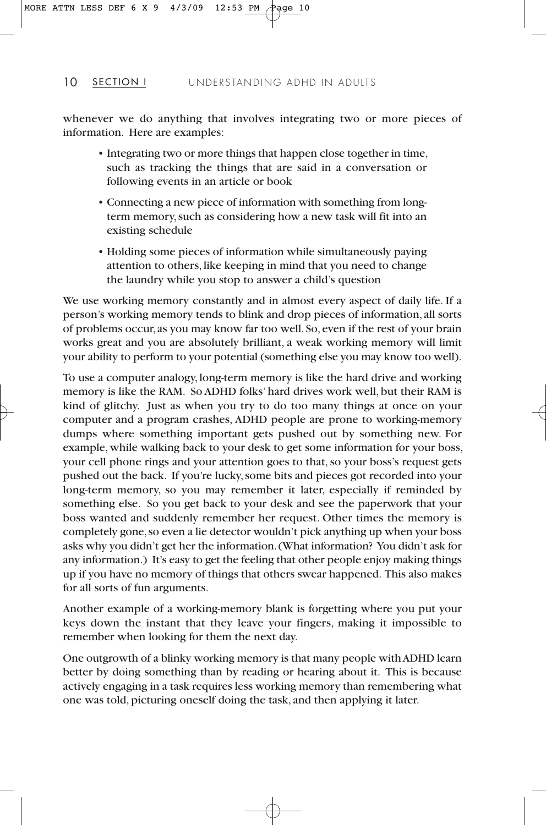whenever we do anything that involves integrating two or more pieces of information. Here are examples:

- Integrating two or more things that happen close together in time, such as tracking the things that are said in a conversation or following events in an article or book
- Connecting a new piece of information with something from longterm memory, such as considering how a new task will fit into an existing schedule
- Holding some pieces of information while simultaneously paying attention to others, like keeping in mind that you need to change the laundry while you stop to answer a child's question

We use working memory constantly and in almost every aspect of daily life. If a person's working memory tends to blink and drop pieces of information, all sorts of problems occur, as you may know far too well. So, even if the rest of your brain works great and you are absolutely brilliant, a weak working memory will limit your ability to perform to your potential (something else you may know too well).

To use a computer analogy, long-term memory is like the hard drive and working memory is like the RAM. So ADHD folks' hard drives work well, but their RAM is kind of glitchy. Just as when you try to do too many things at once on your computer and a program crashes, ADHD people are prone to working-memory dumps where something important gets pushed out by something new. For example, while walking back to your desk to get some information for your boss, your cell phone rings and your attention goes to that, so your boss's request gets pushed out the back. If you're lucky, some bits and pieces got recorded into your long-term memory, so you may remember it later, especially if reminded by something else. So you get back to your desk and see the paperwork that your boss wanted and suddenly remember her request. Other times the memory is completely gone, so even a lie detector wouldn't pick anything up when your boss asks why you didn't get her the information. (What information? You didn't ask for any information.) It's easy to get the feeling that other people enjoy making things up if you have no memory of things that others swear happened. This also makes for all sorts of fun arguments.

Another example of a working-memory blank is forgetting where you put your keys down the instant that they leave your fingers, making it impossible to remember when looking for them the next day.

One outgrowth of a blinky working memory is that many people with ADHD learn better by doing something than by reading or hearing about it. This is because actively engaging in a task requires less working memory than remembering what one was told, picturing oneself doing the task, and then applying it later.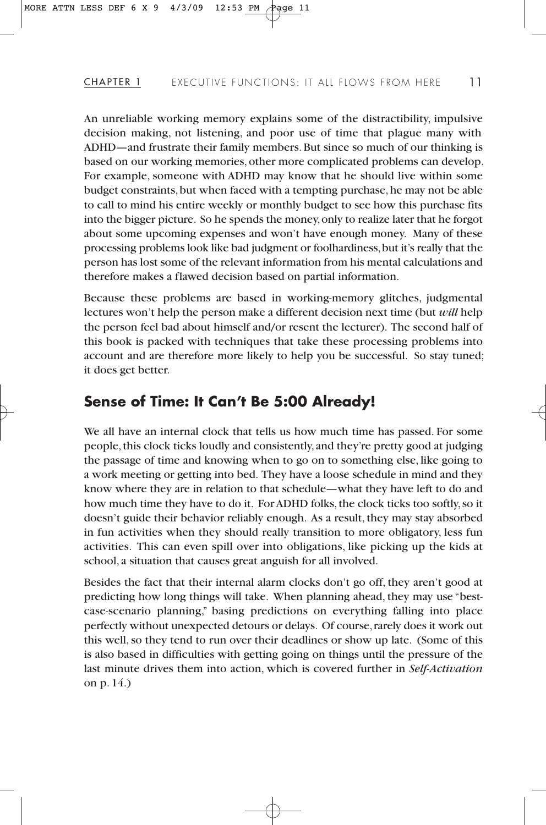An unreliable working memory explains some of the distractibility, impulsive decision making, not listening, and poor use of time that plague many with ADHD—and frustrate their family members. But since so much of our thinking is based on our working memories, other more complicated problems can develop. For example, someone with ADHD may know that he should live within some budget constraints, but when faced with a tempting purchase, he may not be able to call to mind his entire weekly or monthly budget to see how this purchase fits into the bigger picture. So he spends the money, only to realize later that he forgot about some upcoming expenses and won't have enough money. Many of these processing problems look like bad judgment or foolhardiness, but it's really that the person has lost some of the relevant information from his mental calculations and therefore makes a flawed decision based on partial information.

Because these problems are based in working-memory glitches, judgmental lectures won't help the person make a different decision next time (but *will* help the person feel bad about himself and/or resent the lecturer). The second half of this book is packed with techniques that take these processing problems into account and are therefore more likely to help you be successful. So stay tuned; it does get better.

#### **Sense of Time: It Can't Be 5:00 Already!**

We all have an internal clock that tells us how much time has passed. For some people, this clock ticks loudly and consistently, and they're pretty good at judging the passage of time and knowing when to go on to something else, like going to a work meeting or getting into bed. They have a loose schedule in mind and they know where they are in relation to that schedule—what they have left to do and how much time they have to do it. For ADHD folks, the clock ticks too softly, so it doesn't guide their behavior reliably enough. As a result, they may stay absorbed in fun activities when they should really transition to more obligatory, less fun activities. This can even spill over into obligations, like picking up the kids at school, a situation that causes great anguish for all involved.

Besides the fact that their internal alarm clocks don't go off, they aren't good at predicting how long things will take. When planning ahead, they may use "bestcase-scenario planning," basing predictions on everything falling into place perfectly without unexpected detours or delays. Of course, rarely does it work out this well, so they tend to run over their deadlines or show up late. (Some of this is also based in difficulties with getting going on things until the pressure of the last minute drives them into action, which is covered further in *Self-Activation* on p. 14.)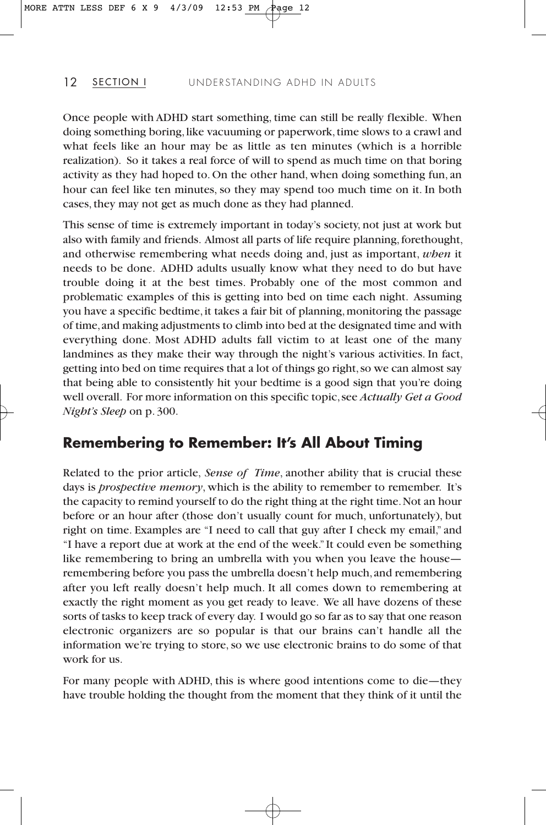Once people with ADHD start something, time can still be really flexible. When doing something boring, like vacuuming or paperwork, time slows to a crawl and what feels like an hour may be as little as ten minutes (which is a horrible realization). So it takes a real force of will to spend as much time on that boring activity as they had hoped to. On the other hand, when doing something fun, an hour can feel like ten minutes, so they may spend too much time on it. In both cases, they may not get as much done as they had planned.

This sense of time is extremely important in today's society, not just at work but also with family and friends. Almost all parts of life require planning, forethought, and otherwise remembering what needs doing and, just as important, *when* it needs to be done. ADHD adults usually know what they need to do but have trouble doing it at the best times. Probably one of the most common and problematic examples of this is getting into bed on time each night. Assuming you have a specific bedtime, it takes a fair bit of planning, monitoring the passage of time, and making adjustments to climb into bed at the designated time and with everything done. Most ADHD adults fall victim to at least one of the many landmines as they make their way through the night's various activities. In fact, getting into bed on time requires that a lot of things go right, so we can almost say that being able to consistently hit your bedtime is a good sign that you're doing well overall. For more information on this specific topic, see *Actually Get a Good Night's Sleep* on p. 300.

#### **Remembering to Remember: It's All About Timing**

Related to the prior article, *Sense of Time*, another ability that is crucial these days is *prospective memory*, which is the ability to remember to remember. It's the capacity to remind yourself to do the right thing at the right time. Not an hour before or an hour after (those don't usually count for much, unfortunately), but right on time. Examples are "I need to call that guy after I check my email," and "I have a report due at work at the end of the week." It could even be something like remembering to bring an umbrella with you when you leave the house remembering before you pass the umbrella doesn't help much, and remembering after you left really doesn't help much. It all comes down to remembering at exactly the right moment as you get ready to leave. We all have dozens of these sorts of tasks to keep track of every day. I would go so far as to say that one reason electronic organizers are so popular is that our brains can't handle all the information we're trying to store, so we use electronic brains to do some of that work for us.

For many people with ADHD, this is where good intentions come to die—they have trouble holding the thought from the moment that they think of it until the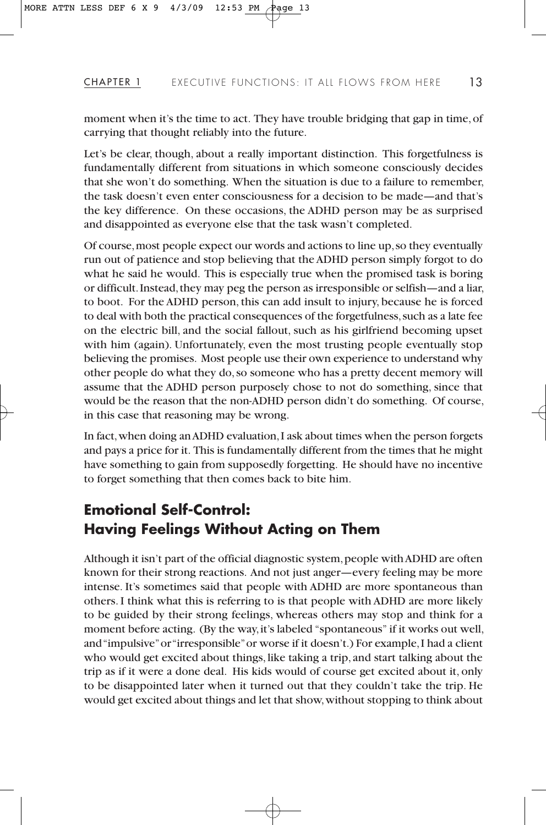moment when it's the time to act. They have trouble bridging that gap in time, of carrying that thought reliably into the future.

Let's be clear, though, about a really important distinction. This forgetfulness is fundamentally different from situations in which someone consciously decides that she won't do something. When the situation is due to a failure to remember, the task doesn't even enter consciousness for a decision to be made—and that's the key difference. On these occasions, the ADHD person may be as surprised and disappointed as everyone else that the task wasn't completed.

Of course, most people expect our words and actions to line up, so they eventually run out of patience and stop believing that the ADHD person simply forgot to do what he said he would. This is especially true when the promised task is boring or difficult. Instead, they may peg the person as irresponsible or selfish—and a liar, to boot. For the ADHD person, this can add insult to injury, because he is forced to deal with both the practical consequences of the forgetfulness, such as a late fee on the electric bill, and the social fallout, such as his girlfriend becoming upset with him (again). Unfortunately, even the most trusting people eventually stop believing the promises. Most people use their own experience to understand why other people do what they do, so someone who has a pretty decent memory will assume that the ADHD person purposely chose to not do something, since that would be the reason that the non-ADHD person didn't do something. Of course, in this case that reasoning may be wrong.

In fact, when doing an ADHD evaluation, I ask about times when the person forgets and pays a price for it. This is fundamentally different from the times that he might have something to gain from supposedly forgetting. He should have no incentive to forget something that then comes back to bite him.

#### **Emotional Self-Control: Having Feelings Without Acting on Them**

Although it isn't part of the official diagnostic system, people with ADHD are often known for their strong reactions. And not just anger—every feeling may be more intense. It's sometimes said that people with ADHD are more spontaneous than others. I think what this is referring to is that people with ADHD are more likely to be guided by their strong feelings, whereas others may stop and think for a moment before acting. (By the way, it's labeled "spontaneous" if it works out well, and "impulsive" or "irresponsible" or worse if it doesn't.) For example, I had a client who would get excited about things, like taking a trip, and start talking about the trip as if it were a done deal. His kids would of course get excited about it, only to be disappointed later when it turned out that they couldn't take the trip. He would get excited about things and let that show, without stopping to think about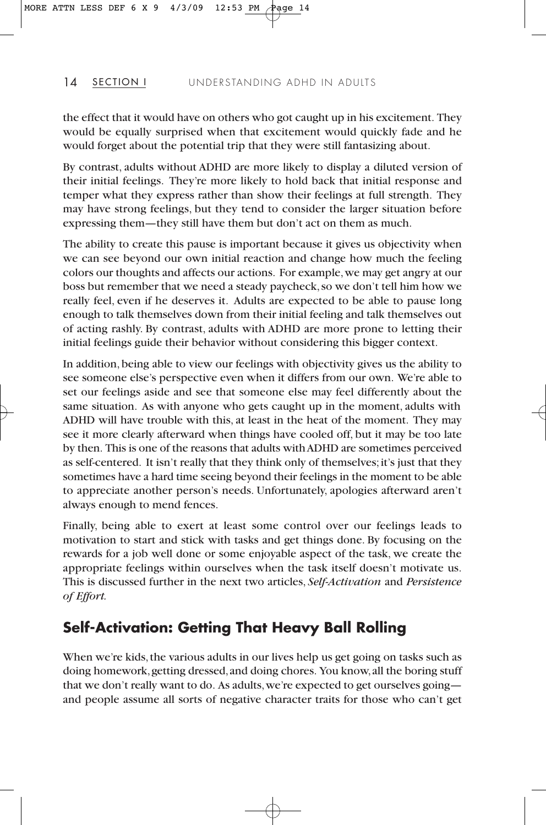the effect that it would have on others who got caught up in his excitement. They would be equally surprised when that excitement would quickly fade and he would forget about the potential trip that they were still fantasizing about.

By contrast, adults without ADHD are more likely to display a diluted version of their initial feelings. They're more likely to hold back that initial response and temper what they express rather than show their feelings at full strength. They may have strong feelings, but they tend to consider the larger situation before expressing them—they still have them but don't act on them as much.

The ability to create this pause is important because it gives us objectivity when we can see beyond our own initial reaction and change how much the feeling colors our thoughts and affects our actions. For example, we may get angry at our boss but remember that we need a steady paycheck, so we don't tell him how we really feel, even if he deserves it. Adults are expected to be able to pause long enough to talk themselves down from their initial feeling and talk themselves out of acting rashly. By contrast, adults with ADHD are more prone to letting their initial feelings guide their behavior without considering this bigger context.

In addition, being able to view our feelings with objectivity gives us the ability to see someone else's perspective even when it differs from our own. We're able to set our feelings aside and see that someone else may feel differently about the same situation. As with anyone who gets caught up in the moment, adults with ADHD will have trouble with this, at least in the heat of the moment. They may see it more clearly afterward when things have cooled off, but it may be too late by then. This is one of the reasons that adults with ADHD are sometimes perceived as self-centered. It isn't really that they think only of themselves; it's just that they sometimes have a hard time seeing beyond their feelings in the moment to be able to appreciate another person's needs. Unfortunately, apologies afterward aren't always enough to mend fences.

Finally, being able to exert at least some control over our feelings leads to motivation to start and stick with tasks and get things done. By focusing on the rewards for a job well done or some enjoyable aspect of the task, we create the appropriate feelings within ourselves when the task itself doesn't motivate us. This is discussed further in the next two articles, *Self-Activation* and *Persistence of Effort.*

#### **Self-Activation: Getting That Heavy Ball Rolling**

When we're kids, the various adults in our lives help us get going on tasks such as doing homework, getting dressed, and doing chores. You know, all the boring stuff that we don't really want to do. As adults, we're expected to get ourselves going and people assume all sorts of negative character traits for those who can't get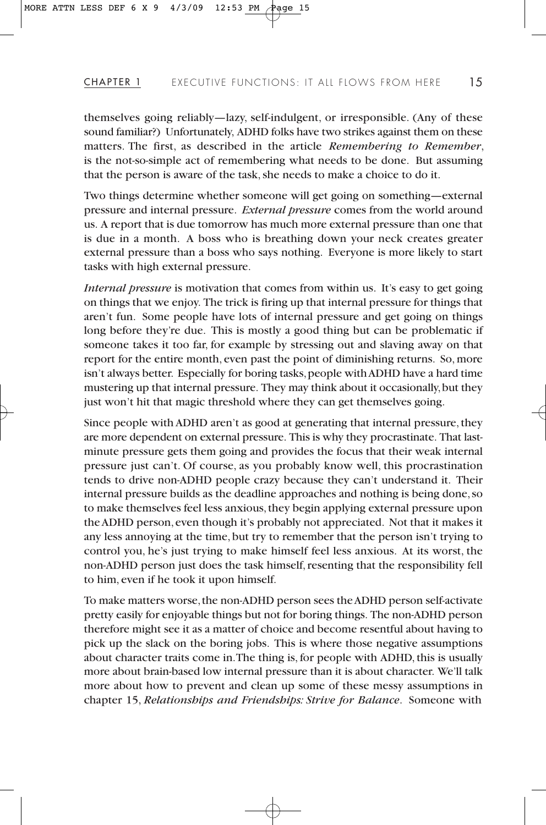themselves going reliably—lazy, self-indulgent, or irresponsible. (Any of these sound familiar?) Unfortunately, ADHD folks have two strikes against them on these matters. The first, as described in the article *Remembering to Remember*, is the not-so-simple act of remembering what needs to be done. But assuming that the person is aware of the task, she needs to make a choice to do it.

Two things determine whether someone will get going on something—external pressure and internal pressure. *External pressure* comes from the world around us. A report that is due tomorrow has much more external pressure than one that is due in a month. A boss who is breathing down your neck creates greater external pressure than a boss who says nothing. Everyone is more likely to start tasks with high external pressure.

*Internal pressure* is motivation that comes from within us. It's easy to get going on things that we enjoy. The trick is firing up that internal pressure for things that aren't fun. Some people have lots of internal pressure and get going on things long before they're due. This is mostly a good thing but can be problematic if someone takes it too far, for example by stressing out and slaving away on that report for the entire month, even past the point of diminishing returns. So, more isn't always better. Especially for boring tasks, people with ADHD have a hard time mustering up that internal pressure. They may think about it occasionally, but they just won't hit that magic threshold where they can get themselves going.

Since people with ADHD aren't as good at generating that internal pressure, they are more dependent on external pressure. This is why they procrastinate. That lastminute pressure gets them going and provides the focus that their weak internal pressure just can't. Of course, as you probably know well, this procrastination tends to drive non-ADHD people crazy because they can't understand it. Their internal pressure builds as the deadline approaches and nothing is being done, so to make themselves feel less anxious, they begin applying external pressure upon the ADHD person, even though it's probably not appreciated. Not that it makes it any less annoying at the time, but try to remember that the person isn't trying to control you, he's just trying to make himself feel less anxious. At its worst, the non-ADHD person just does the task himself, resenting that the responsibility fell to him, even if he took it upon himself.

To make matters worse, the non-ADHD person sees the ADHD person self-activate pretty easily for enjoyable things but not for boring things. The non-ADHD person therefore might see it as a matter of choice and become resentful about having to pick up the slack on the boring jobs. This is where those negative assumptions about character traits come in. The thing is, for people with ADHD, this is usually more about brain-based low internal pressure than it is about character. We'll talk more about how to prevent and clean up some of these messy assumptions in chapter 15, *Relationships and Friendships: Strive for Balance*. Someone with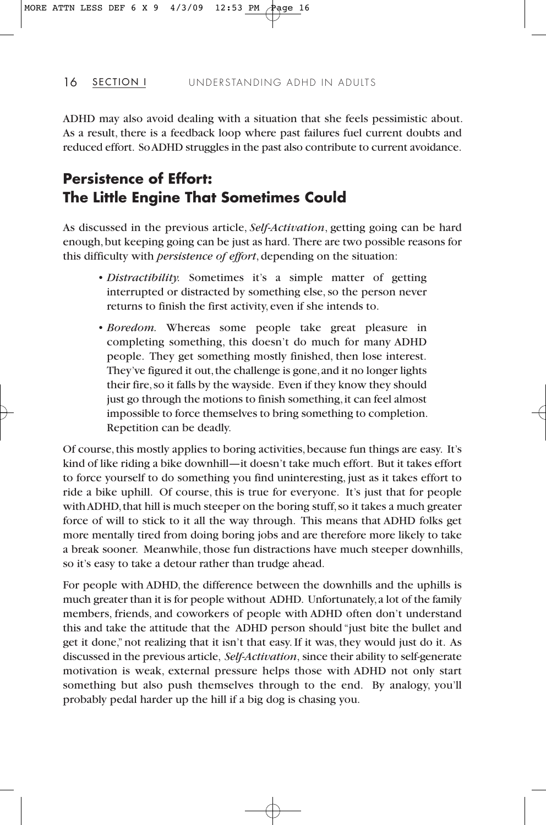ADHD may also avoid dealing with a situation that she feels pessimistic about. As a result, there is a feedback loop where past failures fuel current doubts and reduced effort. So ADHD struggles in the past also contribute to current avoidance.

#### **Persistence of Effort: The Little Engine That Sometimes Could**

As discussed in the previous article, *Self-Activation*, getting going can be hard enough, but keeping going can be just as hard. There are two possible reasons for this difficulty with *persistence of effort*, depending on the situation:

- *Distractibility.* Sometimes it's a simple matter of getting interrupted or distracted by something else, so the person never returns to finish the first activity, even if she intends to.
- *Boredom.* Whereas some people take great pleasure in completing something, this doesn't do much for many ADHD people. They get something mostly finished, then lose interest. They've figured it out, the challenge is gone, and it no longer lights their fire, so it falls by the wayside. Even if they know they should just go through the motions to finish something, it can feel almost impossible to force themselves to bring something to completion. Repetition can be deadly.

Of course, this mostly applies to boring activities, because fun things are easy. It's kind of like riding a bike downhill—it doesn't take much effort. But it takes effort to force yourself to do something you find uninteresting, just as it takes effort to ride a bike uphill. Of course, this is true for everyone. It's just that for people with ADHD, that hill is much steeper on the boring stuff, so it takes a much greater force of will to stick to it all the way through. This means that ADHD folks get more mentally tired from doing boring jobs and are therefore more likely to take a break sooner. Meanwhile, those fun distractions have much steeper downhills, so it's easy to take a detour rather than trudge ahead.

For people with ADHD, the difference between the downhills and the uphills is much greater than it is for people without ADHD. Unfortunately, a lot of the family members, friends, and coworkers of people with ADHD often don't understand this and take the attitude that the ADHD person should "just bite the bullet and get it done," not realizing that it isn't that easy. If it was, they would just do it. As discussed in the previous article, *Self-Activation*, since their ability to self-generate motivation is weak, external pressure helps those with ADHD not only start something but also push themselves through to the end. By analogy, you'll probably pedal harder up the hill if a big dog is chasing you.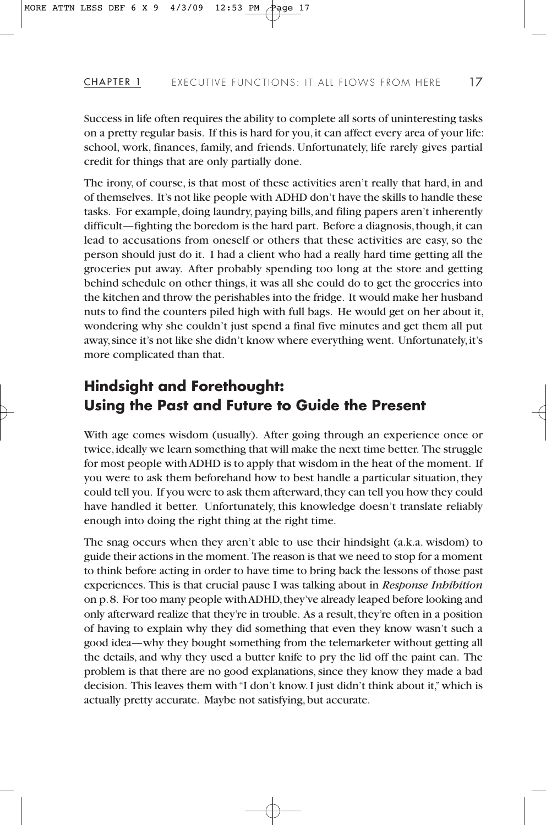Success in life often requires the ability to complete all sorts of uninteresting tasks on a pretty regular basis. If this is hard for you, it can affect every area of your life: school, work, finances, family, and friends. Unfortunately, life rarely gives partial credit for things that are only partially done.

The irony, of course, is that most of these activities aren't really that hard, in and of themselves. It's not like people with ADHD don't have the skills to handle these tasks. For example, doing laundry, paying bills, and filing papers aren't inherently difficult—fighting the boredom is the hard part. Before a diagnosis, though, it can lead to accusations from oneself or others that these activities are easy, so the person should just do it. I had a client who had a really hard time getting all the groceries put away. After probably spending too long at the store and getting behind schedule on other things, it was all she could do to get the groceries into the kitchen and throw the perishables into the fridge. It would make her husband nuts to find the counters piled high with full bags. He would get on her about it, wondering why she couldn't just spend a final five minutes and get them all put away, since it's not like she didn't know where everything went. Unfortunately, it's more complicated than that.

#### **Hindsight and Forethought: Using the Past and Future to Guide the Present**

With age comes wisdom (usually). After going through an experience once or twice, ideally we learn something that will make the next time better. The struggle for most people with ADHD is to apply that wisdom in the heat of the moment. If you were to ask them beforehand how to best handle a particular situation, they could tell you. If you were to ask them afterward, they can tell you how they could have handled it better. Unfortunately, this knowledge doesn't translate reliably enough into doing the right thing at the right time.

The snag occurs when they aren't able to use their hindsight (a.k.a. wisdom) to guide their actions in the moment. The reason is that we need to stop for a moment to think before acting in order to have time to bring back the lessons of those past experiences. This is that crucial pause I was talking about in *Response Inhibition* on p. 8. For too many people with ADHD, they've already leaped before looking and only afterward realize that they're in trouble. As a result, they're often in a position of having to explain why they did something that even they know wasn't such a good idea—why they bought something from the telemarketer without getting all the details, and why they used a butter knife to pry the lid off the paint can. The problem is that there are no good explanations, since they know they made a bad decision. This leaves them with "I don't know. I just didn't think about it," which is actually pretty accurate. Maybe not satisfying, but accurate.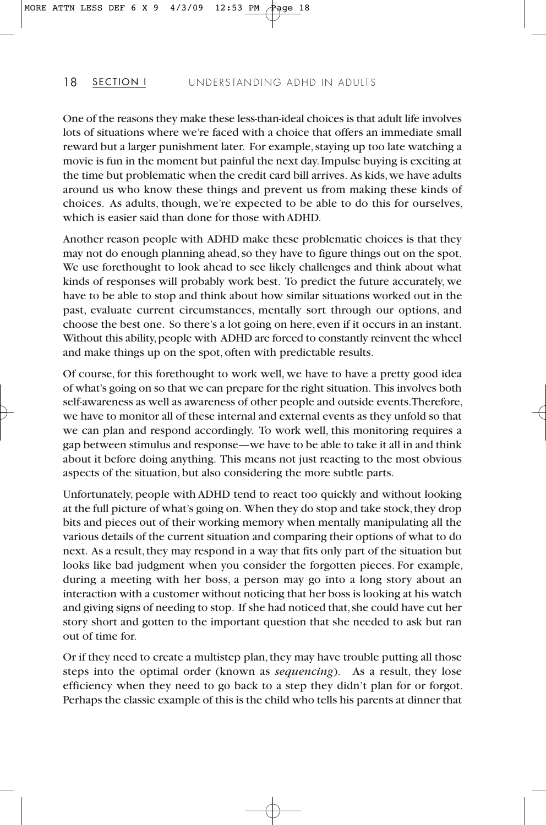One of the reasons they make these less-than-ideal choices is that adult life involves lots of situations where we're faced with a choice that offers an immediate small reward but a larger punishment later. For example, staying up too late watching a movie is fun in the moment but painful the next day. Impulse buying is exciting at the time but problematic when the credit card bill arrives. As kids, we have adults around us who know these things and prevent us from making these kinds of choices. As adults, though, we're expected to be able to do this for ourselves, which is easier said than done for those with ADHD.

Another reason people with ADHD make these problematic choices is that they may not do enough planning ahead, so they have to figure things out on the spot. We use forethought to look ahead to see likely challenges and think about what kinds of responses will probably work best. To predict the future accurately, we have to be able to stop and think about how similar situations worked out in the past, evaluate current circumstances, mentally sort through our options, and choose the best one. So there's a lot going on here, even if it occurs in an instant. Without this ability, people with ADHD are forced to constantly reinvent the wheel and make things up on the spot, often with predictable results.

Of course, for this forethought to work well, we have to have a pretty good idea of what's going on so that we can prepare for the right situation. This involves both self-awareness as well as awareness of other people and outside events. Therefore, we have to monitor all of these internal and external events as they unfold so that we can plan and respond accordingly. To work well, this monitoring requires a gap between stimulus and response—we have to be able to take it all in and think about it before doing anything. This means not just reacting to the most obvious aspects of the situation, but also considering the more subtle parts.

Unfortunately, people with ADHD tend to react too quickly and without looking at the full picture of what's going on. When they do stop and take stock, they drop bits and pieces out of their working memory when mentally manipulating all the various details of the current situation and comparing their options of what to do next. As a result, they may respond in a way that fits only part of the situation but looks like bad judgment when you consider the forgotten pieces. For example, during a meeting with her boss, a person may go into a long story about an interaction with a customer without noticing that her boss is looking at his watch and giving signs of needing to stop. If she had noticed that, she could have cut her story short and gotten to the important question that she needed to ask but ran out of time for.

Or if they need to create a multistep plan, they may have trouble putting all those steps into the optimal order (known as *sequencing*). As a result, they lose efficiency when they need to go back to a step they didn't plan for or forgot. Perhaps the classic example of this is the child who tells his parents at dinner that